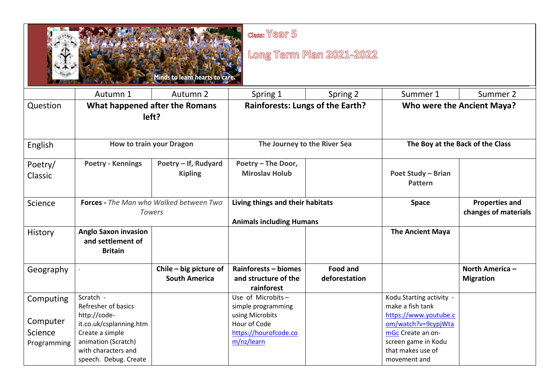| class: Year 5<br>Long Term Plan 2021-2022<br>finds to learn hearts to c |                                                                                                                                   |                                                                                    |                                                                        |                                  |                                                                                                                               |                                               |  |
|-------------------------------------------------------------------------|-----------------------------------------------------------------------------------------------------------------------------------|------------------------------------------------------------------------------------|------------------------------------------------------------------------|----------------------------------|-------------------------------------------------------------------------------------------------------------------------------|-----------------------------------------------|--|
|                                                                         | Autumn 1                                                                                                                          | Autumn 2                                                                           | Spring 1                                                               | Spring 2                         | Summer 1                                                                                                                      | Summer 2                                      |  |
| Question                                                                |                                                                                                                                   | <b>Rainforests: Lungs of the Earth?</b><br>What happened after the Romans<br>left? |                                                                        |                                  | Who were the Ancient Maya?                                                                                                    |                                               |  |
| English                                                                 | <b>How to train your Dragon</b>                                                                                                   |                                                                                    | The Journey to the River Sea                                           |                                  | The Boy at the Back of the Class                                                                                              |                                               |  |
| Poetry/<br>Classic                                                      | <b>Poetry - Kennings</b>                                                                                                          | Poetry - If, Rudyard<br><b>Kipling</b>                                             | Poetry - The Door,<br><b>Miroslav Holub</b>                            |                                  | <b>Poet Study - Brian</b><br><b>Pattern</b>                                                                                   |                                               |  |
| Science                                                                 | <b>Forces</b> - The Man who Walked between Two<br><b>Towers</b>                                                                   |                                                                                    | Living things and their habitats<br><b>Animals including Humans</b>    |                                  | <b>Space</b>                                                                                                                  | <b>Properties and</b><br>changes of materials |  |
| History                                                                 | <b>Anglo Saxon invasion</b><br>and settlement of<br><b>Britain</b>                                                                |                                                                                    |                                                                        |                                  | <b>The Ancient Maya</b>                                                                                                       |                                               |  |
| Geography                                                               |                                                                                                                                   | Chile - big picture of<br><b>South America</b>                                     | Rainforests - biomes<br>and structure of the<br>rainforest             | <b>Food and</b><br>deforestation |                                                                                                                               | North America -<br><b>Migration</b>           |  |
| Computing                                                               | Scratch -<br>Refresher of basics                                                                                                  |                                                                                    | Use of Microbits-<br>simple programming                                |                                  | Kodu Starting activity -<br>make a fish tank                                                                                  |                                               |  |
| Computer<br>Science<br>Programming                                      | http://code-<br>it.co.uk/csplanning.htm<br>Create a simple<br>animation (Scratch)<br>with characters and<br>speech. Debug. Create |                                                                                    | using Microbits<br>Hour of Code<br>https://hourofcode.co<br>m/nz/learn |                                  | https://www.youtube.c<br>om/watch?v=9cypjWta<br>mGc Create an on-<br>screen game in Kodu<br>that makes use of<br>movement and |                                               |  |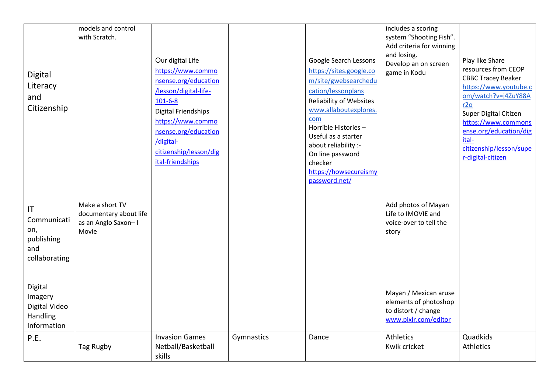| Digital<br>Literacy<br>and<br>Citizenship                      | models and control<br>with Scratch.                                       | Our digital Life<br>https://www.commo<br>nsense.org/education<br>/lesson/digital-life-<br>$101 - 6 - 8$<br><b>Digital Friendships</b><br>https://www.commo<br>nsense.org/education<br>/digital-<br>citizenship/lesson/dig<br>ital-friendships |            | Google Search Lessons<br>https://sites.google.co<br>m/site/gwebsearchedu<br>cation/lessonplans<br><b>Reliability of Websites</b><br>www.allaboutexplores.<br>com<br>Horrible Histories-<br>Useful as a starter<br>about reliability :-<br>On line password<br>checker<br>https://howsecureismy<br>password.net/ | includes a scoring<br>system "Shooting Fish".<br>Add criteria for winning<br>and losing.<br>Develop an on screen<br>game in Kodu | Play like Share<br>resources from CEOP<br><b>CBBC Tracey Beaker</b><br>https://www.youtube.c<br>om/watch?v=j4ZuY88A<br>r2o<br>Super Digital Citizen<br>https://www.commons<br>ense.org/education/dig<br>ital-<br>citizenship/lesson/supe<br>r-digital-citizen |
|----------------------------------------------------------------|---------------------------------------------------------------------------|-----------------------------------------------------------------------------------------------------------------------------------------------------------------------------------------------------------------------------------------------|------------|-----------------------------------------------------------------------------------------------------------------------------------------------------------------------------------------------------------------------------------------------------------------------------------------------------------------|----------------------------------------------------------------------------------------------------------------------------------|---------------------------------------------------------------------------------------------------------------------------------------------------------------------------------------------------------------------------------------------------------------|
| IT<br>Communicati<br>on,<br>publishing<br>and<br>collaborating | Make a short TV<br>documentary about life<br>as an Anglo Saxon-I<br>Movie |                                                                                                                                                                                                                                               |            |                                                                                                                                                                                                                                                                                                                 | Add photos of Mayan<br>Life to IMOVIE and<br>voice-over to tell the<br>story                                                     |                                                                                                                                                                                                                                                               |
| Digital<br>Imagery<br>Digital Video<br>Handling<br>Information |                                                                           |                                                                                                                                                                                                                                               |            |                                                                                                                                                                                                                                                                                                                 | Mayan / Mexican aruse<br>elements of photoshop<br>to distort / change<br>www.pixlr.com/editor                                    |                                                                                                                                                                                                                                                               |
| P.E.                                                           | Tag Rugby                                                                 | <b>Invasion Games</b><br>Netball/Basketball<br>skills                                                                                                                                                                                         | Gymnastics | Dance                                                                                                                                                                                                                                                                                                           | <b>Athletics</b><br>Kwik cricket                                                                                                 | Quadkids<br>Athletics                                                                                                                                                                                                                                         |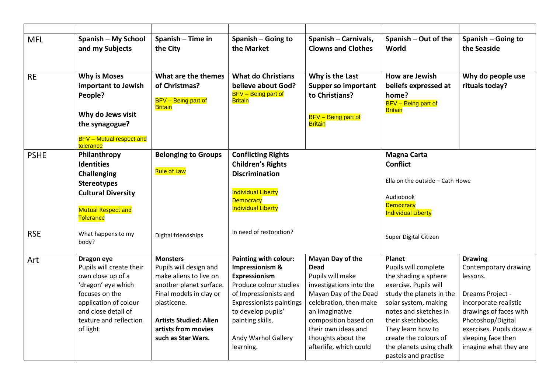| <b>MFL</b>  | Spanish - My School<br>and my Subjects                                                                                                                                                     | Spanish - Time in<br>the City                                                                                                                                                                                          | Spanish - Going to<br>the Market                                                                                                                                                                                              | Spanish - Carnivals,<br><b>Clowns and Clothes</b>                                                                                                                                                                                                  | Spanish - Out of the<br>World                                                                                                                                                                                                                                                              | Spanish - Going to<br>the Seaside                                                                                                                                                                                         |
|-------------|--------------------------------------------------------------------------------------------------------------------------------------------------------------------------------------------|------------------------------------------------------------------------------------------------------------------------------------------------------------------------------------------------------------------------|-------------------------------------------------------------------------------------------------------------------------------------------------------------------------------------------------------------------------------|----------------------------------------------------------------------------------------------------------------------------------------------------------------------------------------------------------------------------------------------------|--------------------------------------------------------------------------------------------------------------------------------------------------------------------------------------------------------------------------------------------------------------------------------------------|---------------------------------------------------------------------------------------------------------------------------------------------------------------------------------------------------------------------------|
| <b>RE</b>   | <b>Why is Moses</b><br>important to Jewish<br>People?<br>Why do Jews visit<br>the synagogue?<br><b>BFV</b> - Mutual respect and<br>tolerance                                               | What are the themes<br>of Christmas?<br><b>BFV</b> - Being part of<br><b>Britain</b>                                                                                                                                   | <b>What do Christians</b><br>believe about God?<br><b>BFV</b> - Being part of<br><b>Britain</b>                                                                                                                               | Why is the Last<br><b>Supper so important</b><br>to Christians?<br><b>BFV</b> - Being part of<br><b>Britain</b>                                                                                                                                    | <b>How are Jewish</b><br>beliefs expressed at<br>home?<br><b>BFV</b> - Being part of<br><b>Britain</b>                                                                                                                                                                                     | Why do people use<br>rituals today?                                                                                                                                                                                       |
| <b>PSHE</b> | Philanthropy<br><b>Identities</b><br><b>Challenging</b><br><b>Stereotypes</b><br><b>Cultural Diversity</b><br><b>Mutual Respect and</b><br>Tolerance                                       | <b>Belonging to Groups</b><br><b>Rule of Law</b>                                                                                                                                                                       | <b>Conflicting Rights</b><br><b>Children's Rights</b><br><b>Discrimination</b><br><b>Individual Liberty</b><br><b>Democracy</b><br><b>Individual Liberty</b>                                                                  |                                                                                                                                                                                                                                                    | <b>Magna Carta</b><br><b>Conflict</b><br>Ella on the outside - Cath Howe<br>Audiobook<br><b>Democracy</b><br><b>Individual Liberty</b>                                                                                                                                                     |                                                                                                                                                                                                                           |
| <b>RSE</b>  | What happens to my<br>body?                                                                                                                                                                | Digital friendships                                                                                                                                                                                                    | In need of restoration?                                                                                                                                                                                                       |                                                                                                                                                                                                                                                    | Super Digital Citizen                                                                                                                                                                                                                                                                      |                                                                                                                                                                                                                           |
| Art         | Dragon eye<br>Pupils will create their<br>own close up of a<br>'dragon' eye which<br>focuses on the<br>application of colour<br>and close detail of<br>texture and reflection<br>of light. | <b>Monsters</b><br>Pupils will design and<br>make aliens to live on<br>another planet surface.<br>Final models in clay or<br>plasticene.<br><b>Artists Studied: Alien</b><br>artists from movies<br>such as Star Wars. | Painting with colour:<br>Impressionism &<br>Expressionism<br>Produce colour studies<br>of Impressionists and<br><b>Expressionists paintings</b><br>to develop pupils'<br>painting skills.<br>Andy Warhol Gallery<br>learning. | Mayan Day of the<br><b>Dead</b><br>Pupils will make<br>investigations into the<br>Mayan Day of the Dead<br>celebration, then make<br>an imaginative<br>composition based on<br>their own ideas and<br>thoughts about the<br>afterlife, which could | <b>Planet</b><br>Pupils will complete<br>the shading a sphere<br>exercise. Pupils will<br>study the planets in the<br>solar system, making<br>notes and sketches in<br>their sketchbooks.<br>They learn how to<br>create the colours of<br>the planets using chalk<br>pastels and practise | <b>Drawing</b><br>Contemporary drawing<br>lessons.<br>Dreams Project -<br>incorporate realistic<br>drawings of faces with<br>Photoshop/Digital<br>exercises. Pupils draw a<br>sleeping face then<br>imagine what they are |